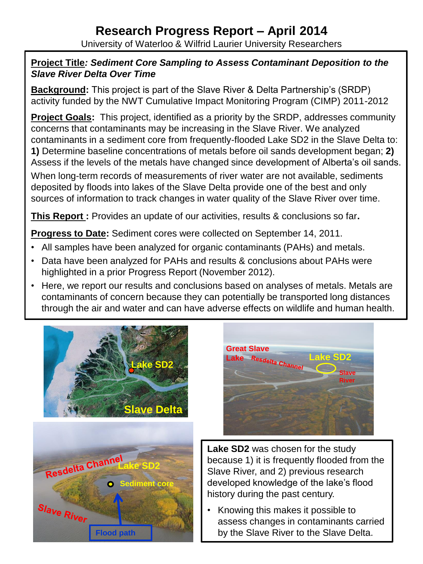#### **Research Progress Report – April 2014** University of Waterloo & Wilfrid Laurier University Researchers

#### **Project Title***: Sediment Core Sampling to Assess Contaminant Deposition to the Slave River Delta Over Time*

**Background:** This project is part of the Slave River & Delta Partnership's (SRDP) activity funded by the NWT Cumulative Impact Monitoring Program (CIMP) 2011-2012

**Project Goals:** This project, identified as a priority by the SRDP, addresses community concerns that contaminants may be increasing in the Slave River. We analyzed contaminants in a sediment core from frequently-flooded Lake SD2 in the Slave Delta to: **1)** Determine baseline concentrations of metals before oil sands development began; **2)** Assess if the levels of the metals have changed since development of Alberta's oil sands.

When long-term records of measurements of river water are not available, sediments deposited by floods into lakes of the Slave Delta provide one of the best and only sources of information to track changes in water quality of the Slave River over time.

**This Report :** Provides an update of our activities, results & conclusions so far**.**

**Progress to Date:** Sediment cores were collected on September 14, 2011.

- All samples have been analyzed for organic contaminants (PAHs) and metals.
- Data have been analyzed for PAHs and results & conclusions about PAHs were highlighted in a prior Progress Report (November 2012).
- Here, we report our results and conclusions based on analyses of metals. Metals are contaminants of concern because they can potentially be transported long distances through the air and water and can have adverse effects on wildlife and human health.







**Lake SD2** was chosen for the study because 1) it is frequently flooded from the Slave River, and 2) previous research developed knowledge of the lake's flood history during the past century.

• Knowing this makes it possible to assess changes in contaminants carried by the Slave River to the Slave Delta.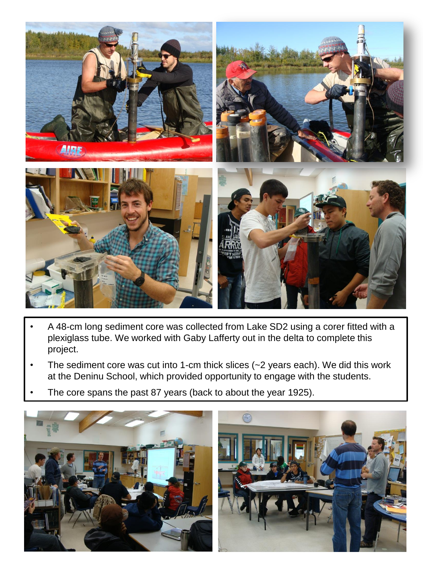

- A 48-cm long sediment core was collected from Lake SD2 using a corer fitted with a plexiglass tube. We worked with Gaby Lafferty out in the delta to complete this project.
- The sediment core was cut into 1-cm thick slices (~2 years each). We did this work at the Deninu School, which provided opportunity to engage with the students.
- The core spans the past 87 years (back to about the year 1925).

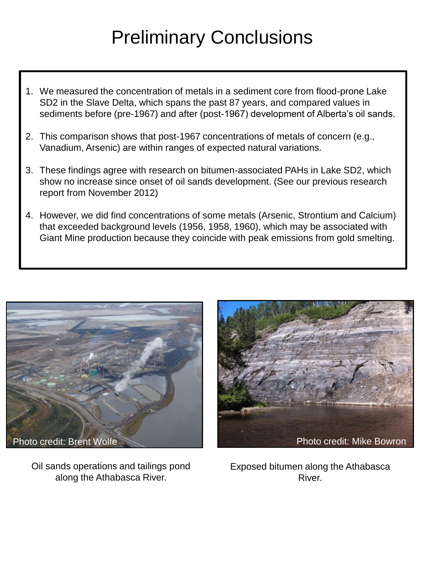## Preliminary Conclusions

- 1. We measured the concentration of metals in a sediment core from flood-prone Lake SD2 in the Slave Delta, which spans the past 87 years, and compared values in sediments before (pre-1967) and after (post-1967) development of Alberta's oil sands.
- 2. This comparison shows that post-1967 concentrations of metals of concern (e.g., Vanadium, Arsenic) are within ranges of expected natural variations.
- 3. These findings agree with research on bitumen-associated PAHs in Lake SD2, which show no increase since onset of oil sands development. (See our previous research report from November 2012)
- 4. However, we did find concentrations of some metals (Arsenic, Strontium and Calcium) that exceeded background levels (1956, 1958, 1960), which may be associated with Giant Mine production because they coincide with peak emissions from gold smelting.



Oil sands operations and tailings pond along the Athabasca River.



Exposed bitumen along the Athabasca River.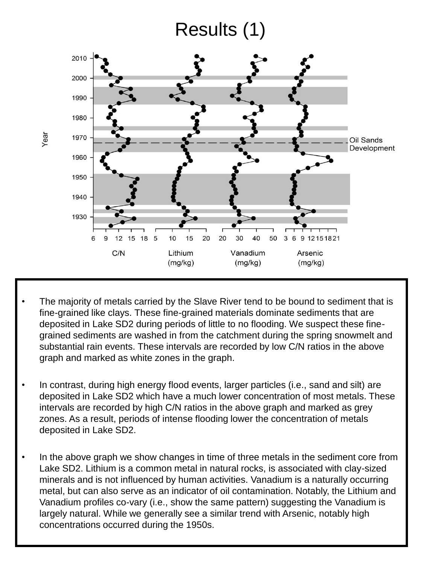### Results (1)



- The majority of metals carried by the Slave River tend to be bound to sediment that is fine-grained like clays. These fine-grained materials dominate sediments that are deposited in Lake SD2 during periods of little to no flooding. We suspect these finegrained sediments are washed in from the catchment during the spring snowmelt and substantial rain events. These intervals are recorded by low C/N ratios in the above graph and marked as white zones in the graph.
- In contrast, during high energy flood events, larger particles (i.e., sand and silt) are deposited in Lake SD2 which have a much lower concentration of most metals. These intervals are recorded by high C/N ratios in the above graph and marked as grey zones. As a result, periods of intense flooding lower the concentration of metals deposited in Lake SD2.
- In the above graph we show changes in time of three metals in the sediment core from Lake SD2. Lithium is a common metal in natural rocks, is associated with clay-sized minerals and is not influenced by human activities. Vanadium is a naturally occurring metal, but can also serve as an indicator of oil contamination. Notably, the Lithium and Vanadium profiles co-vary (i.e., show the same pattern) suggesting the Vanadium is largely natural. While we generally see a similar trend with Arsenic, notably high concentrations occurred during the 1950s.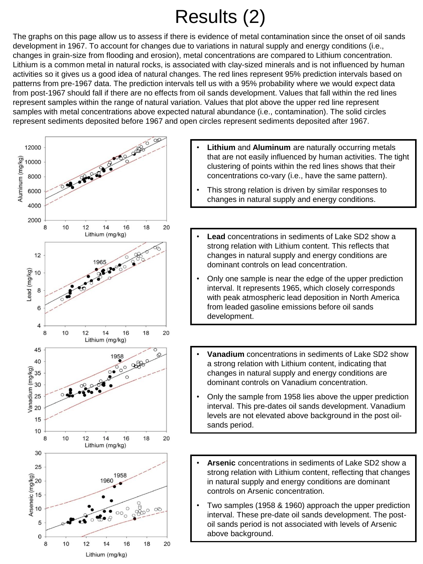# Results (2)

The graphs on this page allow us to assess if there is evidence of metal contamination since the onset of oil sands development in 1967. To account for changes due to variations in natural supply and energy conditions (i.e., changes in grain-size from flooding and erosion), metal concentrations are compared to Lithium concentration. Lithium is a common metal in natural rocks, is associated with clay-sized minerals and is not influenced by human activities so it gives us a good idea of natural changes. The red lines represent 95% prediction intervals based on patterns from pre-1967 data. The prediction intervals tell us with a 95% probability where we would expect data from post-1967 should fall if there are no effects from oil sands development. Values that fall within the red lines represent samples within the range of natural variation. Values that plot above the upper red line represent samples with metal concentrations above expected natural abundance (i.e., contamination). The solid circles represent sediments deposited before 1967 and open circles represent sediments deposited after 1967.



- **Lithium** and **Aluminum** are naturally occurring metals that are not easily influenced by human activities. The tight clustering of points within the red lines shows that their concentrations co-vary (i.e., have the same pattern).
- This strong relation is driven by similar responses to changes in natural supply and energy conditions.
- **Lead** concentrations in sediments of Lake SD2 show a strong relation with Lithium content. This reflects that changes in natural supply and energy conditions are dominant controls on lead concentration.
- Only one sample is near the edge of the upper prediction interval. It represents 1965, which closely corresponds with peak atmospheric lead deposition in North America from leaded gasoline emissions before oil sands development.
- **Vanadium** concentrations in sediments of Lake SD2 show a strong relation with Lithium content, indicating that changes in natural supply and energy conditions are dominant controls on Vanadium concentration.
- Only the sample from 1958 lies above the upper prediction interval. This pre-dates oil sands development. Vanadium levels are not elevated above background in the post oilsands period.
- **Arsenic** concentrations in sediments of Lake SD2 show a strong relation with Lithium content, reflecting that changes in natural supply and energy conditions are dominant controls on Arsenic concentration.
- Two samples (1958 & 1960) approach the upper prediction interval. These pre-date oil sands development. The postoil sands period is not associated with levels of Arsenic above background.